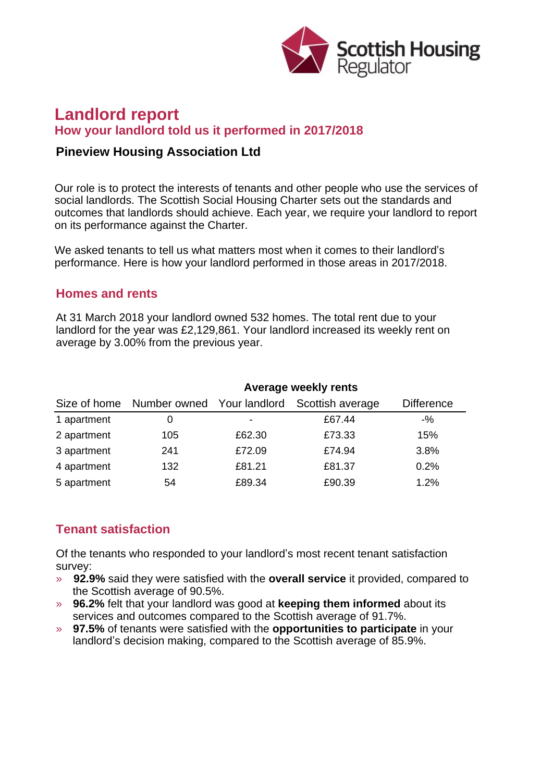

# **Landlord report How your landlord told us it performed in 2017/2018**

#### **Pineview Housing Association Ltd**

Our role is to protect the interests of tenants and other people who use the services of social landlords. The Scottish Social Housing Charter sets out the standards and outcomes that landlords should achieve. Each year, we require your landlord to report on its performance against the Charter.

We asked tenants to tell us what matters most when it comes to their landlord's performance. Here is how your landlord performed in those areas in 2017/2018.

#### **Homes and rents**

At 31 March 2018 your landlord owned 532 homes. The total rent due to your landlord for the year was £2,129,861. Your landlord increased its weekly rent on average by 3.00% from the previous year.

|             | Average weekly rents                    |        |                  |                   |
|-------------|-----------------------------------------|--------|------------------|-------------------|
|             | Size of home Number owned Your landlord |        | Scottish average | <b>Difference</b> |
| 1 apartment | O                                       |        | £67.44           | $-$ %             |
| 2 apartment | 105                                     | £62.30 | £73.33           | 15%               |
| 3 apartment | 241                                     | £72.09 | £74.94           | 3.8%              |
| 4 apartment | 132                                     | £81.21 | £81.37           | 0.2%              |
| 5 apartment | 54                                      | £89.34 | £90.39           | 1.2%              |

## **Tenant satisfaction**

Of the tenants who responded to your landlord's most recent tenant satisfaction survey:

- » **92.9%** said they were satisfied with the **overall service** it provided, compared to the Scottish average of 90.5%.
- » **96.2%** felt that your landlord was good at **keeping them informed** about its services and outcomes compared to the Scottish average of 91.7%.
- » **97.5%** of tenants were satisfied with the **opportunities to participate** in your landlord's decision making, compared to the Scottish average of 85.9%.